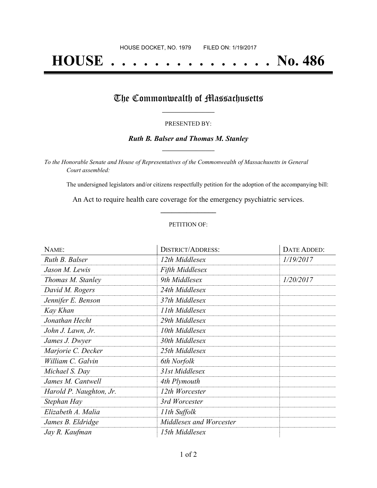# **HOUSE . . . . . . . . . . . . . . . No. 486**

## The Commonwealth of Massachusetts

### PRESENTED BY:

## *Ruth B. Balser and Thomas M. Stanley* **\_\_\_\_\_\_\_\_\_\_\_\_\_\_\_\_\_**

*To the Honorable Senate and House of Representatives of the Commonwealth of Massachusetts in General Court assembled:*

The undersigned legislators and/or citizens respectfully petition for the adoption of the accompanying bill:

An Act to require health care coverage for the emergency psychiatric services. **\_\_\_\_\_\_\_\_\_\_\_\_\_\_\_**

## PETITION OF:

| NAME:                   | <b>DISTRICT/ADDRESS:</b> | DATE ADDED: |
|-------------------------|--------------------------|-------------|
| Ruth B. Balser          | 12th Middlesex           | 1/19/2017   |
| Jason M. Lewis          | <b>Fifth Middlesex</b>   |             |
| Thomas M. Stanley       | 9th Middlesex            | 1/20/2017   |
| David M. Rogers         | 24th Middlesex           |             |
| Jennifer E. Benson      | 37th Middlesex           |             |
| Kay Khan                | 11th Middlesex           |             |
| Jonathan Hecht          | 29th Middlesex           |             |
| John J. Lawn, Jr.       | 10th Middlesex           |             |
| James J. Dwyer          | 30th Middlesex           |             |
| Marjorie C. Decker      | 25th Middlesex           |             |
| William C. Galvin       | 6th Norfolk              |             |
| Michael S. Day          | 31st Middlesex           |             |
| James M. Cantwell       | 4th Plymouth             |             |
| Harold P. Naughton, Jr. | 12th Worcester           |             |
| Stephan Hay             | 3rd Worcester            |             |
| Elizabeth A. Malia      | 11th Suffolk             |             |
| James B. Eldridge       | Middlesex and Worcester  |             |
| Jay R. Kaufman          | 15th Middlesex           |             |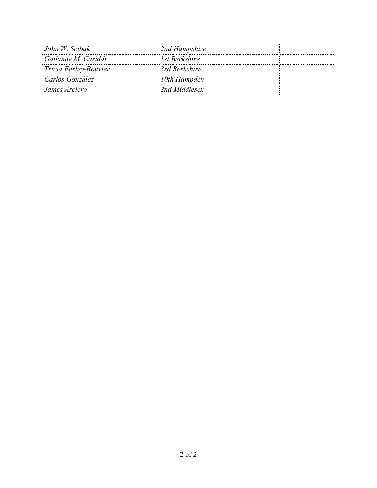| John W. Scibak        | 2nd Hampshire |  |
|-----------------------|---------------|--|
| Gailanne M. Cariddi   | 1st Berkshire |  |
| Tricia Farley-Bouvier | 3rd Berkshire |  |
| Carlos González       | 10th Hampden  |  |
| James Arciero         | 2nd Middlesex |  |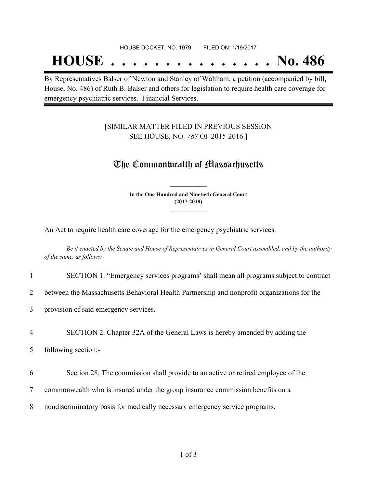### HOUSE DOCKET, NO. 1979 FILED ON: 1/19/2017

## **HOUSE . . . . . . . . . . . . . . . No. 486**

By Representatives Balser of Newton and Stanley of Waltham, a petition (accompanied by bill, House, No. 486) of Ruth B. Balser and others for legislation to require health care coverage for emergency psychiatric services. Financial Services.

## [SIMILAR MATTER FILED IN PREVIOUS SESSION SEE HOUSE, NO. *787* OF 2015-2016.]

## The Commonwealth of Massachusetts

**In the One Hundred and Ninetieth General Court (2017-2018) \_\_\_\_\_\_\_\_\_\_\_\_\_\_\_**

**\_\_\_\_\_\_\_\_\_\_\_\_\_\_\_**

An Act to require health care coverage for the emergency psychiatric services.

Be it enacted by the Senate and House of Representatives in General Court assembled, and by the authority *of the same, as follows:*

### 1 SECTION 1. "Emergency services programs' shall mean all programs subject to contract

2 between the Massachusetts Behavioral Health Partnership and nonprofit organizations for the

3 provision of said emergency services.

### 4 SECTION 2. Chapter 32A of the General Laws is hereby amended by adding the

5 following section:-

- 6 Section 28. The commission shall provide to an active or retired employee of the
- 7 commonwealth who is insured under the group insurance commission benefits on a
- 8 nondiscriminatory basis for medically necessary emergency service programs.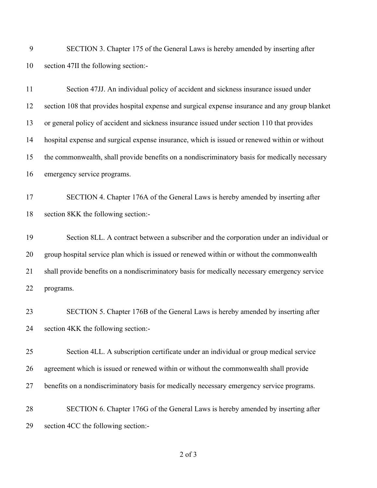SECTION 3. Chapter 175 of the General Laws is hereby amended by inserting after section 47II the following section:-

| 11 | Section 47JJ. An individual policy of accident and sickness insurance issued under              |
|----|-------------------------------------------------------------------------------------------------|
| 12 | section 108 that provides hospital expense and surgical expense insurance and any group blanket |
| 13 | or general policy of accident and sickness insurance issued under section 110 that provides     |
| 14 | hospital expense and surgical expense insurance, which is issued or renewed within or without   |
| 15 | the commonwealth, shall provide benefits on a nondiscriminatory basis for medically necessary   |
| 16 | emergency service programs.                                                                     |
| 17 | SECTION 4. Chapter 176A of the General Laws is hereby amended by inserting after                |
| 18 | section 8KK the following section:-                                                             |
| 19 | Section 8LL. A contract between a subscriber and the corporation under an individual or         |
| 20 | group hospital service plan which is issued or renewed within or without the commonwealth       |
| 21 | shall provide benefits on a nondiscriminatory basis for medically necessary emergency service   |
| 22 | programs.                                                                                       |
| 23 | SECTION 5. Chapter 176B of the General Laws is hereby amended by inserting after                |
| 24 | section 4KK the following section:-                                                             |
| 25 | Section 4LL. A subscription certificate under an individual or group medical service            |
| 26 | agreement which is issued or renewed within or without the commonwealth shall provide           |
| 27 | benefits on a nondiscriminatory basis for medically necessary emergency service programs.       |
| 28 | SECTION 6. Chapter 176G of the General Laws is hereby amended by inserting after                |
| 29 | section 4CC the following section:-                                                             |

of 3